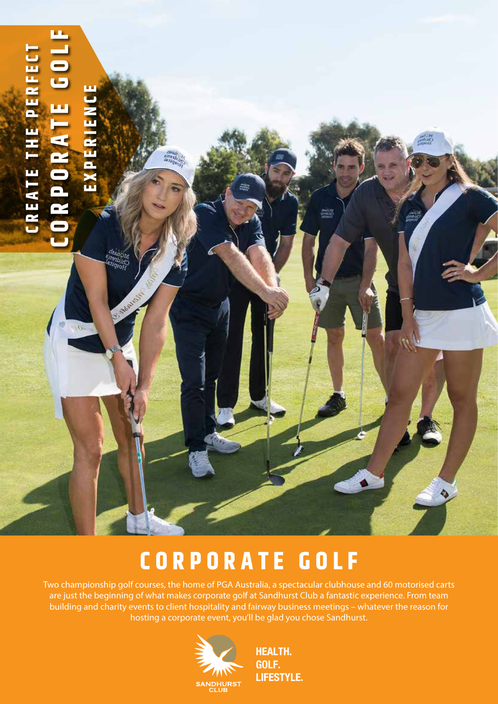# **F100 CORPORATE GOLF CREATE THE PERFECT CREATE THE PERFE EXPERIENCE** RPORATE XPERIE

**CALL OF CALCULATION** 

## **CORPORATE GOLF**

Two championship golf courses, the home of PGA Australia, a spectacular clubhouse and 60 motorised carts are just the beginning of what makes corporate golf at Sandhurst Club a fantastic experience. From team building and charity events to client hospitality and fairway business meetings – whatever the reason for hosting a corporate event, you'll be glad you chose Sandhurst.



**HEALTH. GOLF. LIFESTYLE.**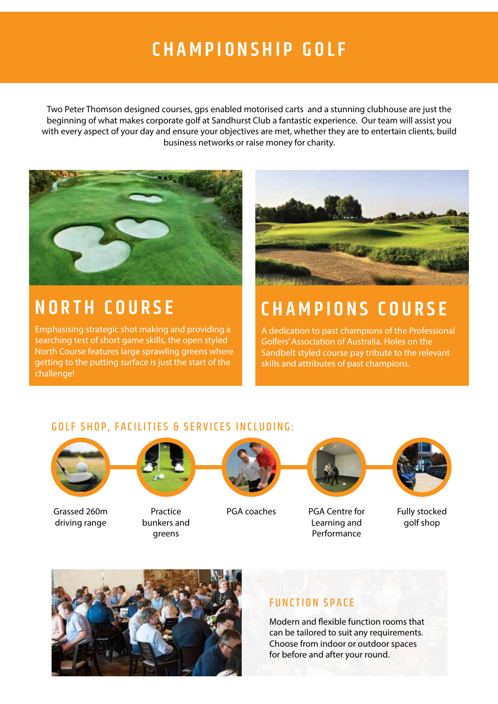### **C HAMPIO N SHIP G O L F**

Two Peter Thomson designed courses, gps enabled motorised carts and a stunning clubhouse are just the beginning of what makes corporate golf at Sandhurst Club a fantastic experience. Our team will assist you with every aspect of your day and ensure your objectives are met, whether they are to entertain clients, build business networks or raise money for charity.



### **NORTH COURSE**

Emphasising strategic shot making and providing a searching test of short game skills, the open styled North Course features large sprawling greens where getting to the putting surface is just the start of the challenge!



### **Champio n s Course**

A dedication to past champions of the Professional Golfers' Association of Australia. Holes on the Sandbelt styled course pay tribute to the relevant skills and attributes of past champions.

### GOLF SHOP, FACILITIES & SERVICES INCLUDING:



Grassed 260m driving range



Practice bunkers and greens





PGA coaches PGA Centre for Learning and Performance



Fully stocked golf shop



### Function space

Modern and flexible function rooms that can be tailored to suit any requirements. Choose from indoor or outdoor spaces for before and after your round.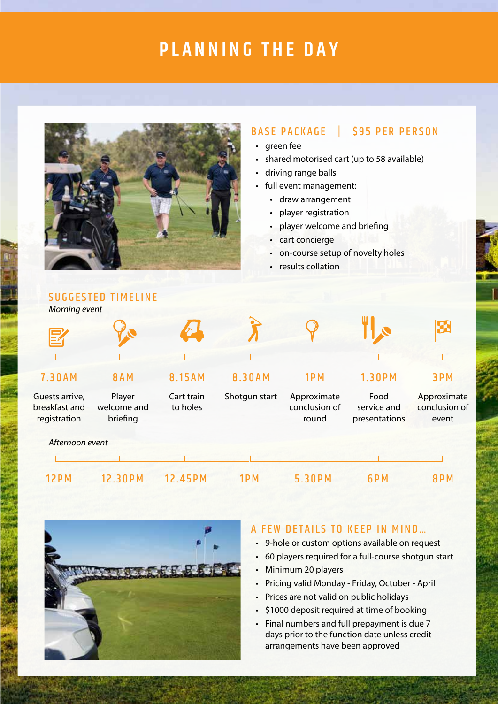### **PLANNING THE DAY**





#### A FEW DETAILS TO KEEP IN MIND...

- • 9-hole or custom options available on request
- • 60 players required for a full-course shotgun start
- • Minimum 20 players
- • Pricing valid Monday Friday, October April
- • Prices are not valid on public holidays
- \$1000 deposit required at time of booking
- • Final numbers and full prepayment is due 7 days prior to the function date unless credit arrangements have been approved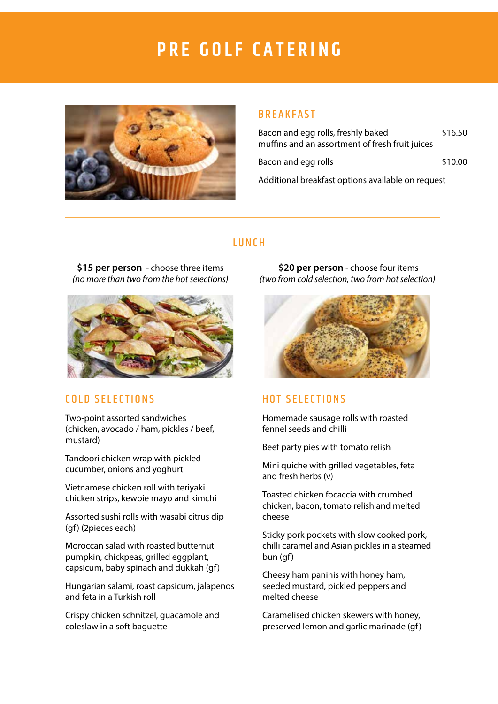### **pre g o lf c ateri ng**



### **BREAKFAST**

| Bacon and egg rolls, freshly baked<br>muffins and an assortment of fresh fruit juices | \$16.50 |  |
|---------------------------------------------------------------------------------------|---------|--|
| Bacon and egg rolls                                                                   | \$10.00 |  |
| Additional breakfast options available on request                                     |         |  |

### LUNCH

**\$15 per person** - choose three items *(no more than two from the hot selections)*



### COLD SELECTIONS

Two-point assorted sandwiches (chicken, avocado / ham, pickles / beef, mustard)

Tandoori chicken wrap with pickled cucumber, onions and yoghurt

Vietnamese chicken roll with teriyaki chicken strips, kewpie mayo and kimchi

Assorted sushi rolls with wasabi citrus dip (gf) (2pieces each)

Moroccan salad with roasted butternut pumpkin, chickpeas, grilled eggplant, capsicum, baby spinach and dukkah (gf)

Hungarian salami, roast capsicum, jalapenos and feta in a Turkish roll

Crispy chicken schnitzel, guacamole and coleslaw in a soft baguette

 **\$20 per person** - choose four items *(two from cold selection, two from hot selection)*



### Hot selections

Homemade sausage rolls with roasted fennel seeds and chilli

Beef party pies with tomato relish

Mini quiche with grilled vegetables, feta and fresh herbs (v)

Toasted chicken focaccia with crumbed chicken, bacon, tomato relish and melted cheese

Sticky pork pockets with slow cooked pork, chilli caramel and Asian pickles in a steamed bun (gf)

Cheesy ham paninis with honey ham, seeded mustard, pickled peppers and melted cheese

Caramelised chicken skewers with honey, preserved lemon and garlic marinade (gf)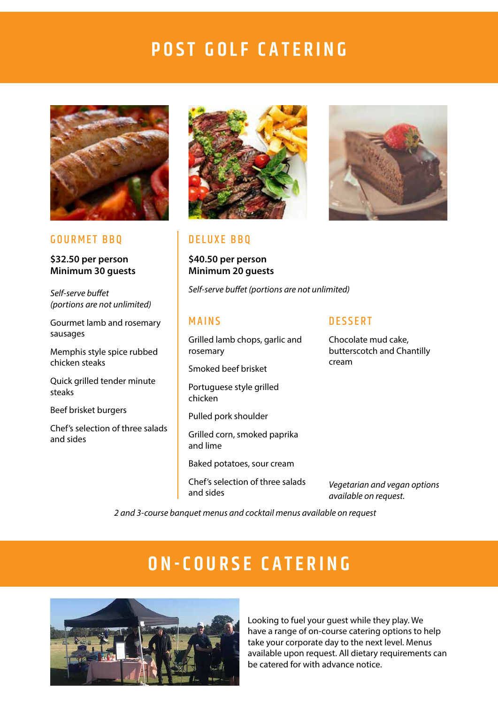### **post g o lf c ateri ng**



### Gourmet BBQ

**\$32.50 per person Minimum 30 guests**

*Self-serve buffet (portions are not unlimited)*

Gourmet lamb and rosemary sausages

Memphis style spice rubbed chicken steaks

Quick grilled tender minute steaks

Beef brisket burgers

Chef's selection of three salads and sides



### DELUXE BBQ

**\$40.50 per person Minimum 20 guests** 

*Self-serve buffet (portions are not unlimited)*

#### Mains

Grilled lamb chops, garlic and rosemary

Smoked beef brisket

Portuguese style grilled chicken

Pulled pork shoulder

Grilled corn, smoked paprika and lime

Baked potatoes, sour cream

Chef's selection of three salads and sides



#### **DESSERT**

Chocolate mud cake, butterscotch and Chantilly cream

*Vegetarian and vegan options available on request.* 

*2 and 3-course banquet menus and cocktail menus available on request*

### **On - c ourse c ateri ng**



Looking to fuel your guest while they play. We have a range of on-course catering options to help take your corporate day to the next level. Menus available upon request. All dietary requirements can be catered for with advance notice.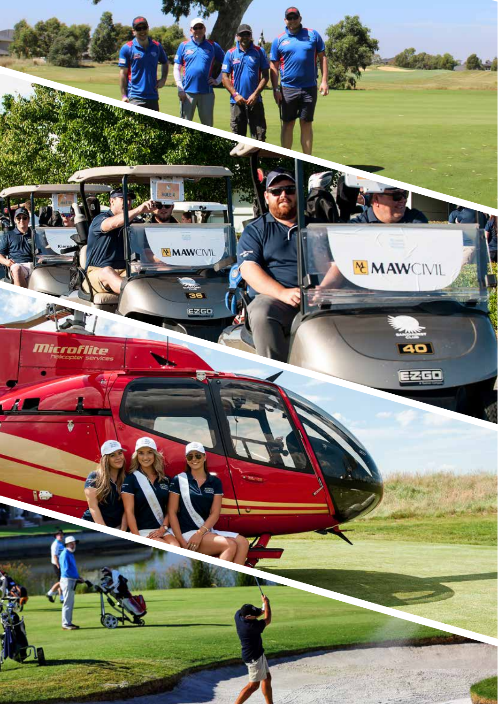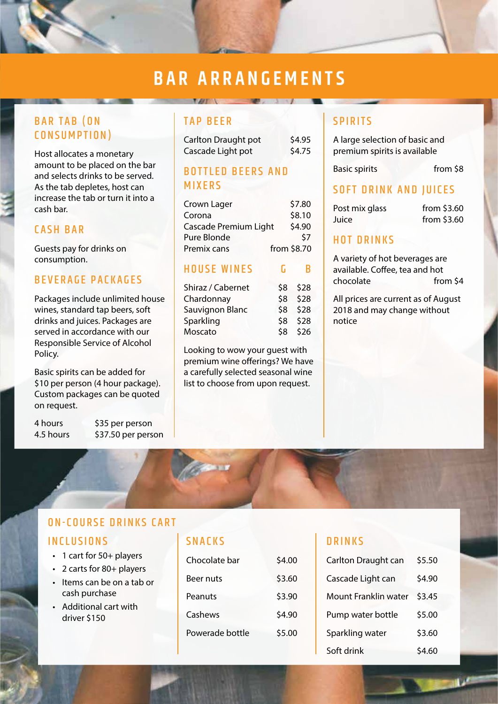### **BAR ARRANGEMENTS**

### **BAR TAB (ON** consumption)

Host allocates a monetary amount to be placed on the bar and selects drinks to be served. As the tab depletes, host can increase the tab or turn it into a cash bar.

### **CASH BAR**

Guests pay for drinks on consumption.

### BEVERAGE PACKAGES

Packages include unlimited house wines, standard tap beers, soft drinks and juices. Packages are served in accordance with our Responsible Service of Alcohol Policy.

Basic spirits can be added for \$10 per person (4 hour package). Custom packages can be quoted on request.

4 hours \$35 per person 4.5 hours \$37.50 per person

### TAP BEER

| Carlton Draught pot | \$4.95 |
|---------------------|--------|
| Cascade Light pot   | \$4.75 |

### **BOTTLED BEERS AND** mixers

| Crown Lager           |     | \$7.80      |
|-----------------------|-----|-------------|
| Corona                |     | \$8.10      |
| Cascade Premium Light |     | \$4.90      |
| Pure Blonde           |     | \$7         |
| Premix cans           |     | from \$8.70 |
| <b>HOUSE WINES</b>    | G   | B           |
| Shiraz / Cabernet     | \$8 | \$28        |
| Chardonnay            | \$8 | \$28        |

| ---      |
|----------|
| \$8 \$28 |
| \$8 \$28 |
| \$8 \$28 |
| \$8 \$26 |
|          |

Looking to wow your guest with premium wine offerings? We have a carefully selected seasonal wine list to choose from upon request.

### **SPIRITS**

A large selection of basic and premium spirits is available

Basic spirits from \$8

### SOFT DRINK AND JUICES

| Post mix glass | from $$3.60$ |
|----------------|--------------|
| Juice          | from $$3.60$ |

#### Hot drinks

A variety of hot beverages are available. Coffee, tea and hot chocolate from \$4

All prices are current as of August 2018 and may change without notice

### On-course drinks cart

#### **INCLUSIONS**

- 1 cart for 50+ players
- • 2 carts for 80+ players
- • Items can be on a tab or cash purchase
- • Additional cart with driver \$150

#### **SNACKS**

| Chocolate bar   | \$4.00 |
|-----------------|--------|
| Beer nuts       | \$3.60 |
| Peanuts         | \$3.90 |
| Cashews         | \$4.90 |
| Powerade bottle | \$5.00 |

#### **DRINKS**

| Carlton Draught can  | \$5.50 |
|----------------------|--------|
| Cascade Light can    | \$4.90 |
| Mount Franklin water | \$3.45 |
| Pump water bottle    | \$5.00 |
| Sparkling water      | \$3.60 |
| Soft drink           | S4.60  |